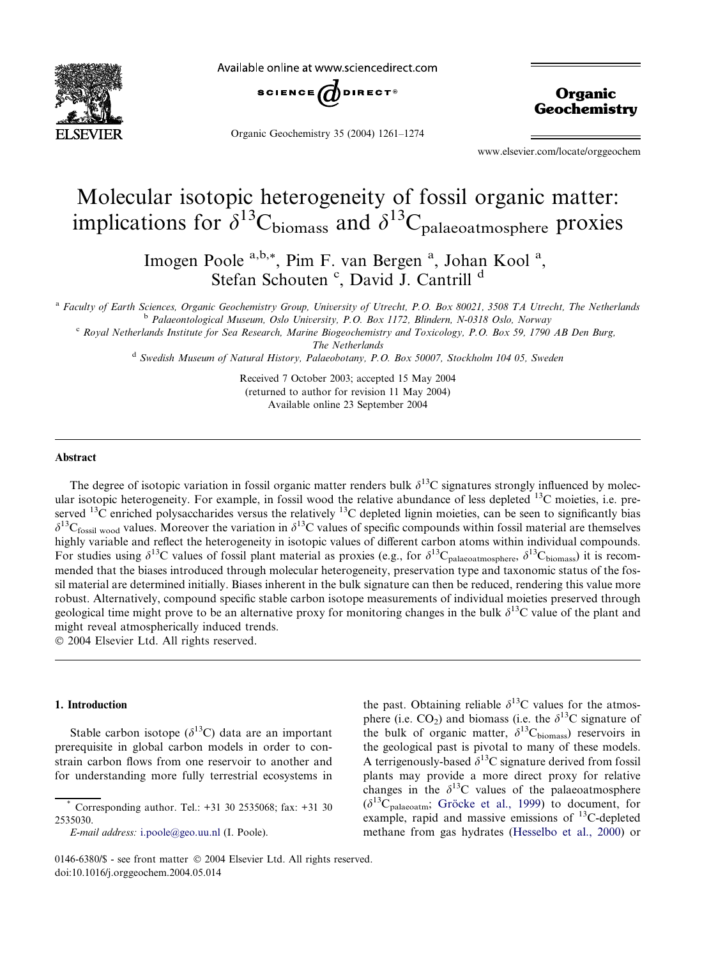

Available online at www.sciencedirect.com



Organic Geochemistry 35 (2004) 1261–1274

**Organic Geochemistry** 

www.elsevier.com/locate/orggeochem

# Molecular isotopic heterogeneity of fossil organic matter: implications for  $\delta^{13}C_{\text{biomass}}$  and  $\delta^{13}C_{\text{palaeoatmosphere}}$  proxies

Imogen Poole <sup>a,b,\*</sup>, Pim F. van Bergen<sup>a</sup>, Johan Kool<sup>a</sup>, Stefan Schouten<sup>c</sup>, David J. Cantrill<sup>d</sup>

a Faculty of Earth Sciences, Organic Geochemistry Group, University of Utrecht, P.O. Box 80021, 3508 TA Utrecht, The Netherlands <sup>b</sup> Palaeontological Museum, Oslo University, P.O. Box 1172, Blindern, N-0318 Oslo, Norway

<sup>c</sup> Royal Netherlands Institute for Sea Research, Marine Biogeochemistry and Toxicology, P.O. Box 59, 1790 AB Den Burg,

The Netherlands

<sup>d</sup> Swedish Museum of Natural History, Palaeobotany, P.O. Box 50007, Stockholm 104 05, Sweden

Received 7 October 2003; accepted 15 May 2004 (returned to author for revision 11 May 2004) Available online 23 September 2004

### Abstract

The degree of isotopic variation in fossil organic matter renders bulk  $\delta^{13}C$  signatures strongly influenced by molecular isotopic heterogeneity. For example, in fossil wood the relative abundance of less depleted  $^{13}$ C moieties, i.e. preserved <sup>13</sup>C enriched polysaccharides versus the relatively <sup>13</sup>C depleted lignin moieties, can be seen to significantly bias  $\delta^{13}C_{\text{fossil} \text{ wood}}$  values. Moreover the variation in  $\delta^{13}C$  values of specific compounds within fossil material are themselves highly variable and reflect the heterogeneity in isotopic values of different carbon atoms within individual compounds. For studies using  $\delta^{13}C$  values of fossil plant material as proxies (e.g., for  $\delta^{13}C_{\text{palaeoatmosphere}}$ ,  $\delta^{13}C_{\text{biomass}}$ ) it is recommended that the biases introduced through molecular heterogeneity, preservation type and taxonomic status of the fossil material are determined initially. Biases inherent in the bulk signature can then be reduced, rendering this value more robust. Alternatively, compound specific stable carbon isotope measurements of individual moieties preserved through geological time might prove to be an alternative proxy for monitoring changes in the bulk  $\delta^{13}C$  value of the plant and might reveal atmospherically induced trends.

2004 Elsevier Ltd. All rights reserved.

### 1. Introduction

Stable carbon isotope  $(\delta^{13}C)$  data are an important prerequisite in global carbon models in order to constrain carbon flows from one reservoir to another and for understanding more fully terrestrial ecosystems in the past. Obtaining reliable  $\delta^{13}$ C values for the atmosphere (i.e.  $CO_2$ ) and biomass (i.e. the  $\delta^{13}$ C signature of the bulk of organic matter,  $\delta^{13}C_{\text{biomass}}$  reservoirs in the geological past is pivotal to many of these models. A terrigenously-based  $\delta^{13}$ C signature derived from fossil plants may provide a more direct proxy for relative changes in the  $\delta^{13}$ C values of the palaeoatmosphere  $(\delta^{13}C_{\text{palaeoatm}};$  Gröcke et al., 1999) to document, for example, rapid and massive emissions of 13C-depleted methane from gas hydrates ([Hesselbo et al., 2000](#page-12-0)) or

Corresponding author. Tel.: +31 30 2535068; fax: +31 30 2535030.

E-mail address: [i.poole@geo.uu.nl](mailto:i.poole@geo.uu.nl ) (I. Poole).

<sup>0146-6380/\$ -</sup> see front matter © 2004 Elsevier Ltd. All rights reserved. doi:10.1016/j.orggeochem.2004.05.014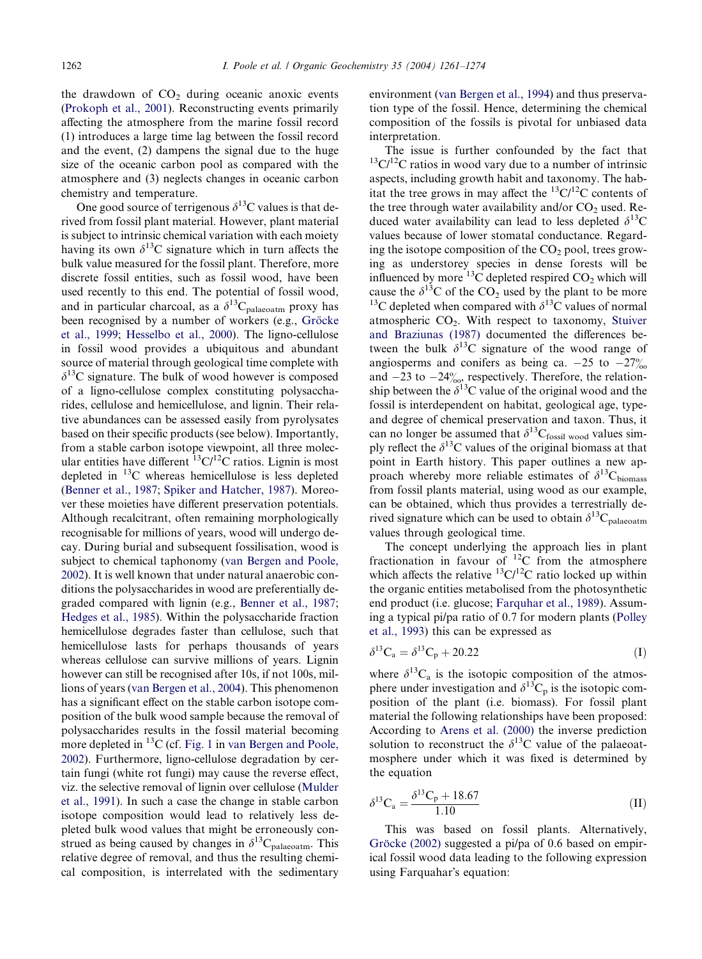the drawdown of  $CO<sub>2</sub>$  during oceanic anoxic events [\(Prokoph et al., 2001](#page-13-0)). Reconstructing events primarily affecting the atmosphere from the marine fossil record (1) introduces a large time lag between the fossil record and the event, (2) dampens the signal due to the huge size of the oceanic carbon pool as compared with the atmosphere and (3) neglects changes in oceanic carbon chemistry and temperature.

One good source of terrigenous  $\delta^{13}$ C values is that derived from fossil plant material. However, plant material is subject to intrinsic chemical variation with each moiety having its own  $\delta^{13}$ C signature which in turn affects the bulk value measured for the fossil plant. Therefore, more discrete fossil entities, such as fossil wood, have been used recently to this end. The potential of fossil wood, and in particular charcoal, as a  $\delta^{13}C_{\text{palaecatm}}$  proxy has been recognised by a number of workers (e.g., Gröcke [et al., 1999;](#page-12-0) [Hesselbo et al., 2000](#page-12-0)). The ligno-cellulose in fossil wood provides a ubiquitous and abundant source of material through geological time complete with  $\delta^{13}$ C signature. The bulk of wood however is composed of a ligno-cellulose complex constituting polysaccharides, cellulose and hemicellulose, and lignin. Their relative abundances can be assessed easily from pyrolysates based on their specific products (see below). Importantly, from a stable carbon isotope viewpoint, all three molecular entities have different  ${}^{13}C/{}^{12}C$  ratios. Lignin is most depleted in 13C whereas hemicellulose is less depleted [\(Benner et al., 1987](#page-12-0); [Spiker and Hatcher, 1987](#page-13-0)). Moreover these moieties have different preservation potentials. Although recalcitrant, often remaining morphologically recognisable for millions of years, wood will undergo decay. During burial and subsequent fossilisation, wood is subject to chemical taphonomy ([van Bergen and Poole,](#page-12-0) [2002](#page-12-0)). It is well known that under natural anaerobic conditions the polysaccharides in wood are preferentially degraded compared with lignin (e.g., [Benner et al., 1987](#page-12-0); [Hedges et al., 1985\)](#page-12-0). Within the polysaccharide fraction hemicellulose degrades faster than cellulose, such that hemicellulose lasts for perhaps thousands of years whereas cellulose can survive millions of years. Lignin however can still be recognised after 10s, if not 100s, millions of years [\(van Bergen et al., 2004\)](#page-12-0). This phenomenon has a significant effect on the stable carbon isotope composition of the bulk wood sample because the removal of polysaccharides results in the fossil material becoming more depleted in <sup>13</sup>C (cf. [Fig. 1](#page-2-0) in [van Bergen and Poole,](#page-12-0) [2002](#page-12-0)). Furthermore, ligno-cellulose degradation by certain fungi (white rot fungi) may cause the reverse effect, viz. the selective removal of lignin over cellulose [\(Mulder](#page-12-0) [et al., 1991\)](#page-12-0). In such a case the change in stable carbon isotope composition would lead to relatively less depleted bulk wood values that might be erroneously construed as being caused by changes in  $\delta^{13}C_{\text{palaeoatm}}$ . This relative degree of removal, and thus the resulting chemical composition, is interrelated with the sedimentary environment [\(van Bergen et al., 1994](#page-12-0)) and thus preservation type of the fossil. Hence, determining the chemical composition of the fossils is pivotal for unbiased data interpretation.

The issue is further confounded by the fact that  $13\text{C}/12\text{C}$  ratios in wood vary due to a number of intrinsic aspects, including growth habit and taxonomy. The habitat the tree grows in may affect the  ${}^{13}C/{}^{12}C$  contents of the tree through water availability and/or  $CO<sub>2</sub>$  used. Reduced water availability can lead to less depleted  $\delta^{13}$ C values because of lower stomatal conductance. Regarding the isotope composition of the  $CO<sub>2</sub>$  pool, trees growing as understorey species in dense forests will be influenced by more <sup>13</sup>C depleted respired CO<sub>2</sub> which will cause the  $\delta^{13}$ C of the CO<sub>2</sub> used by the plant to be more <sup>13</sup>C depleted when compared with  $\delta$ <sup>13</sup>C values of normal atmospheric  $CO<sub>2</sub>$ . With respect to taxonomy, [Stuiver](#page-13-0) [and Braziunas \(1987\)](#page-13-0) documented the differences between the bulk  $\delta^{13}$ C signature of the wood range of angiosperms and conifers as being ca.  $-25$  to  $-27\%$ and  $-23$  to  $-24\%$ , respectively. Therefore, the relationship between the  $\delta^{13}$ C value of the original wood and the fossil is interdependent on habitat, geological age, typeand degree of chemical preservation and taxon. Thus, it can no longer be assumed that  $\delta^{13}C_{\text{fossil} \text{ wood}}$  values simply reflect the  $\delta^{13}$ C values of the original biomass at that point in Earth history. This paper outlines a new approach whereby more reliable estimates of  $\delta^{13}C_{\text{biomass}}$ from fossil plants material, using wood as our example, can be obtained, which thus provides a terrestrially derived signature which can be used to obtain  $\delta^{13}C_{\text{palaeoatm}}$ values through geological time.

The concept underlying the approach lies in plant fractionation in favour of 12C from the atmosphere which affects the relative  ${}^{13}$ C/<sup>12</sup>C ratio locked up within the organic entities metabolised from the photosynthetic end product (i.e. glucose; [Farquhar et al., 1989\)](#page-12-0). Assuming a typical pi/pa ratio of 0.7 for modern plants [\(Polley](#page-12-0) [et al., 1993](#page-12-0)) this can be expressed as

$$
\delta^{13}C_a = \delta^{13}C_p + 20.22\tag{I}
$$

where  $\delta^{13}C_a$  is the isotopic composition of the atmosphere under investigation and  $\delta^{13}C_p$  is the isotopic composition of the plant (i.e. biomass). For fossil plant material the following relationships have been proposed: According to [Arens et al. \(2000\)](#page-12-0) the inverse prediction solution to reconstruct the  $\delta^{13}$ C value of the palaeoatmosphere under which it was fixed is determined by the equation

$$
\delta^{13}C_a = \frac{\delta^{13}C_p + 18.67}{1.10}
$$
 (II)

This was based on fossil plants. Alternatively, Gröcke (2002) suggested a pi/pa of 0.6 based on empirical fossil wood data leading to the following expression using Farquahar's equation: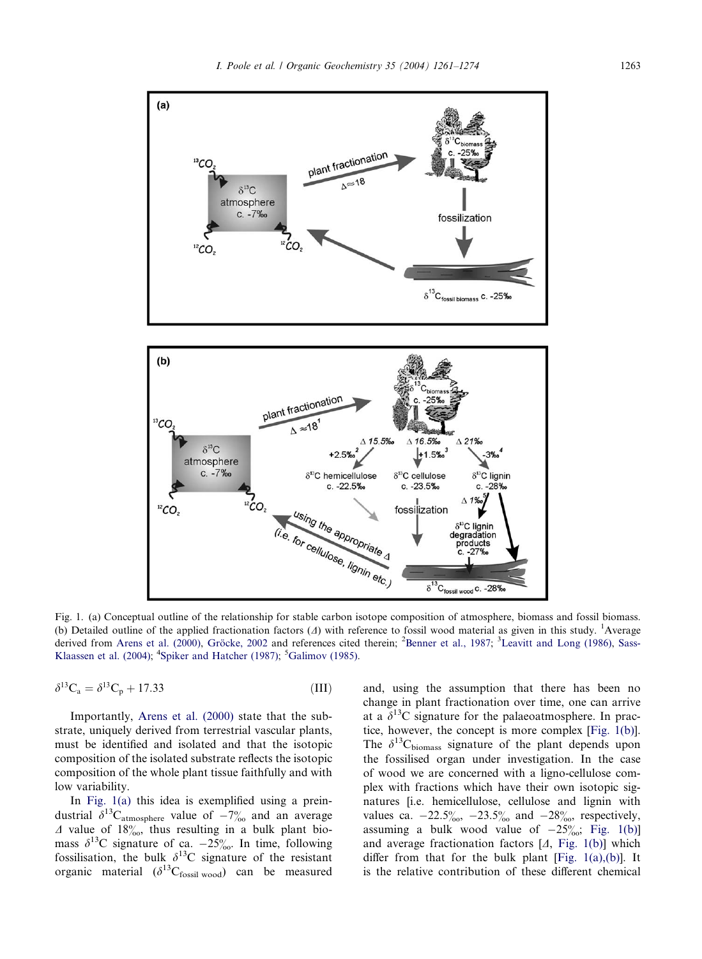<span id="page-2-0"></span>

Fig. 1. (a) Conceptual outline of the relationship for stable carbon isotope composition of atmosphere, biomass and fossil biomass. (b) Detailed outline of the applied fractionation factors  $(A)$  with reference to fossil wood material as given in this study. <sup>1</sup>Average derived from [Arens et al. \(2000\),](#page-12-0) Gröcke, 2002 and references cited therein; <sup>2</sup>[Benner et al., 1987](#page-12-0); <sup>3</sup>[Leavitt and Long \(1986\)](#page-12-0), [Sass-](#page-13-0)[Klaassen et al. \(2004\);](#page-13-0) <sup>4</sup>[Spiker and Hatcher \(1987\);](#page-13-0) <sup>5</sup>[Galimov \(1985\)](#page-12-0).

$$
\delta^{13}C_a = \delta^{13}C_p + 17.33\tag{III}
$$

Importantly, [Arens et al. \(2000\)](#page-12-0) state that the substrate, uniquely derived from terrestrial vascular plants, must be identified and isolated and that the isotopic composition of the isolated substrate reflects the isotopic composition of the whole plant tissue faithfully and with low variability.

In Fig. 1(a) this idea is exemplified using a preindustrial  $\delta^{13}C_{atmosphere}$  value of  $-7\%$  and an average  $\Delta$  value of 18%, thus resulting in a bulk plant biomass  $\delta^{13}$ C signature of ca. -25%. In time, following fossilisation, the bulk  $\delta^{13}$ C signature of the resistant organic material  $(\delta^{13}C_{fossil\ wood})$  can be measured and, using the assumption that there has been no change in plant fractionation over time, one can arrive at a  $\delta^{13}$ C signature for the palaeoatmosphere. In practice, however, the concept is more complex [Fig. 1(b)]. The  $\delta^{13}C_{\text{biomass}}$  signature of the plant depends upon the fossilised organ under investigation. In the case of wood we are concerned with a ligno-cellulose complex with fractions which have their own isotopic signatures [i.e. hemicellulose, cellulose and lignin with values ca.  $-22.5\%$ ,  $-23.5\%$  and  $-28\%$ , respectively, assuming a bulk wood value of  $-25\%$ ; Fig. 1(b)] and average fractionation factors  $[A, Fig. 1(b)]$  which differ from that for the bulk plant [Fig.  $1(a)$ , $(b)$ ]. It is the relative contribution of these different chemical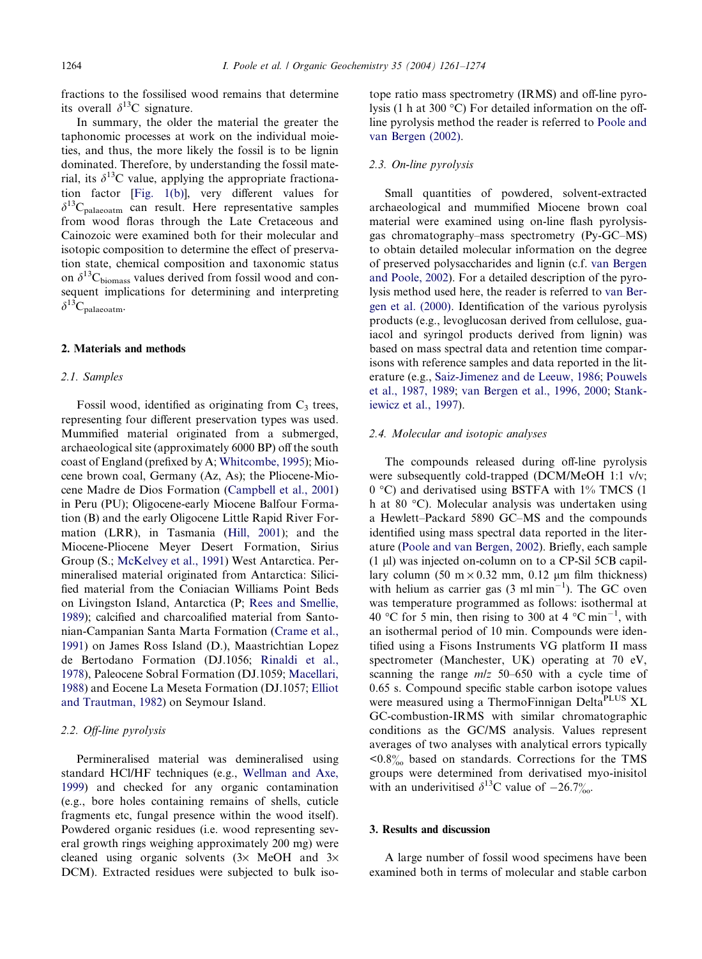fractions to the fossilised wood remains that determine its overall  $\delta^{13}$ C signature.

In summary, the older the material the greater the taphonomic processes at work on the individual moieties, and thus, the more likely the fossil is to be lignin dominated. Therefore, by understanding the fossil material, its  $\delta^{13}$ C value, applying the appropriate fractionation factor [[Fig. 1\(b\)\]](#page-2-0), very different values for  $\delta^{13}C_{\text{palaeoatm}}$  can result. Here representative samples from wood floras through the Late Cretaceous and Cainozoic were examined both for their molecular and isotopic composition to determine the effect of preservation state, chemical composition and taxonomic status on  $\delta^{13}C_{\text{biomass}}$  values derived from fossil wood and consequent implications for determining and interpreting  $\delta^{13}C_{\text{malaeoatm}}$ .

### 2. Materials and methods

### 2.1. Samples

Fossil wood, identified as originating from  $C_3$  trees, representing four different preservation types was used. Mummified material originated from a submerged, archaeological site (approximately 6000 BP) off the south coast of England (prefixed by A; [Whitcombe, 1995](#page-13-0)); Miocene brown coal, Germany (Az, As); the Pliocene-Miocene Madre de Dios Formation ([Campbell et al., 2001\)](#page-12-0) in Peru (PU); Oligocene-early Miocene Balfour Formation (B) and the early Oligocene Little Rapid River Formation (LRR), in Tasmania ([Hill, 2001](#page-12-0)); and the Miocene-Pliocene Meyer Desert Formation, Sirius Group (S.; [McKelvey et al., 1991](#page-12-0)) West Antarctica. Permineralised material originated from Antarctica: Silicified material from the Coniacian Williams Point Beds on Livingston Island, Antarctica (P; [Rees and Smellie,](#page-13-0) [1989](#page-13-0)); calcified and charcoalified material from Santonian-Campanian Santa Marta Formation ([Crame et al.,](#page-12-0) [1991](#page-12-0)) on James Ross Island (D.), Maastrichtian Lopez de Bertodano Formation (DJ.1056; [Rinaldi et al.,](#page-13-0) [1978](#page-13-0)), Paleocene Sobral Formation (DJ.1059; [Macellari,](#page-12-0) [1988](#page-12-0)) and Eocene La Meseta Formation (DJ.1057; [Elliot](#page-12-0) [and Trautman, 1982\)](#page-12-0) on Seymour Island.

### 2.2. Off-line pyrolysis

Permineralised material was demineralised using standard HCl/HF techniques (e.g., [Wellman and Axe,](#page-13-0) [1999](#page-13-0)) and checked for any organic contamination (e.g., bore holes containing remains of shells, cuticle fragments etc, fungal presence within the wood itself). Powdered organic residues (i.e. wood representing several growth rings weighing approximately 200 mg) were cleaned using organic solvents  $(3 \times \text{MeOH})$  and  $3 \times$ DCM). Extracted residues were subjected to bulk isotope ratio mass spectrometry (IRMS) and off-line pyrolysis (1 h at 300 °C) For detailed information on the offline pyrolysis method the reader is referred to [Poole and](#page-12-0) [van Bergen \(2002\)](#page-12-0).

### 2.3. On-line pyrolysis

Small quantities of powdered, solvent-extracted archaeological and mummified Miocene brown coal material were examined using on-line flash pyrolysisgas chromatography–mass spectrometry (Py-GC–MS) to obtain detailed molecular information on the degree of preserved polysaccharides and lignin (c.f. [van Bergen](#page-12-0) [and Poole, 2002\)](#page-12-0). For a detailed description of the pyrolysis method used here, the reader is referred to [van Ber](#page-12-0)[gen et al. \(2000\).](#page-12-0) Identification of the various pyrolysis products (e.g., levoglucosan derived from cellulose, guaiacol and syringol products derived from lignin) was based on mass spectral data and retention time comparisons with reference samples and data reported in the literature (e.g., [Saiz-Jimenez and de Leeuw, 1986](#page-13-0); [Pouwels](#page-13-0) [et al., 1987, 1989;](#page-13-0) [van Bergen et al., 1996, 2000;](#page-12-0) [Stank](#page-13-0)[iewicz et al., 1997](#page-13-0)).

### 2.4. Molecular and isotopic analyses

The compounds released during off-line pyrolysis were subsequently cold-trapped (DCM/MeOH 1:1 v/v;  $0^{\circ}$ C) and derivatised using BSTFA with 1% TMCS (1 h at 80 °C). Molecular analysis was undertaken using a Hewlett–Packard 5890 GC–MS and the compounds identified using mass spectral data reported in the literature ([Poole and van Bergen, 2002\)](#page-12-0). Briefly, each sample  $(1 \mu l)$  was injected on-column on to a CP-Sil 5CB capillary column (50 m  $\times$  0.32 mm, 0.12 µm film thickness) with helium as carrier gas  $(3 \text{ ml min}^{-1})$ . The GC oven was temperature programmed as follows: isothermal at 40 °C for 5 min, then rising to 300 at 4 °C min<sup>-1</sup>, with an isothermal period of 10 min. Compounds were identified using a Fisons Instruments VG platform II mass spectrometer (Manchester, UK) operating at 70 eV, scanning the range  $m/z$  50–650 with a cycle time of 0.65 s. Compound specific stable carbon isotope values were measured using a ThermoFinnigan DeltaPLUS XL GC-combustion-IRMS with similar chromatographic conditions as the GC/MS analysis. Values represent averages of two analyses with analytical errors typically  $\langle 0.8\%$  based on standards. Corrections for the TMS groups were determined from derivatised myo-inisitol with an underivitised  $\delta^{13}$ C value of  $-26.7\%$ .

### 3. Results and discussion

A large number of fossil wood specimens have been examined both in terms of molecular and stable carbon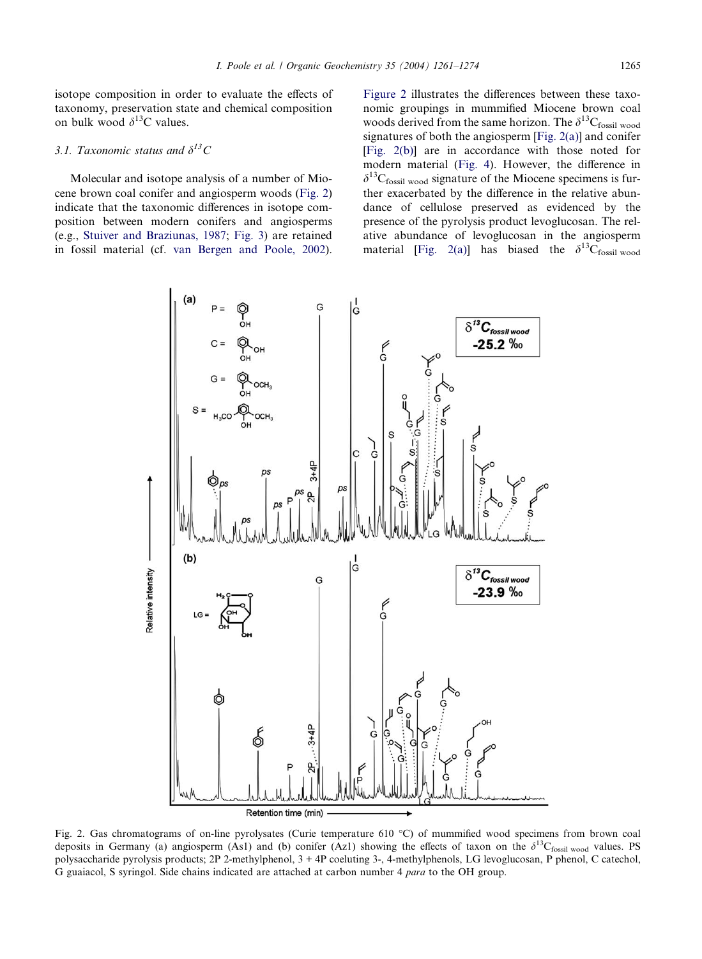<span id="page-4-0"></span>isotope composition in order to evaluate the effects of taxonomy, preservation state and chemical composition on bulk wood  $\delta^{13}$ C values.

# 3.1. Taxonomic status and  $\delta^{13}C$

Molecular and isotope analysis of a number of Miocene brown coal conifer and angiosperm woods (Fig. 2) indicate that the taxonomic differences in isotope composition between modern conifers and angiosperms (e.g., [Stuiver and Braziunas, 1987](#page-13-0); [Fig. 3\)](#page-5-0) are retained in fossil material (cf. [van Bergen and Poole, 2002](#page-12-0)). Figure 2 illustrates the differences between these taxonomic groupings in mummified Miocene brown coal woods derived from the same horizon. The  $\delta^{13}C_{\text{fossil} \text{ wood}}$ signatures of both the angiosperm [Fig. 2(a)] and conifer [Fig. 2(b)] are in accordance with those noted for modern material [\(Fig. 4\)](#page-5-0). However, the difference in  $\delta^{13}C_{\text{fossil wood}}$  signature of the Miocene specimens is further exacerbated by the difference in the relative abundance of cellulose preserved as evidenced by the presence of the pyrolysis product levoglucosan. The relative abundance of levoglucosan in the angiosperm material [Fig. 2(a)] has biased the  $\delta^{13}C_{\text{fossil wood}}$ 



Fig. 2. Gas chromatograms of on-line pyrolysates (Curie temperature 610 °C) of mummified wood specimens from brown coal deposits in Germany (a) angiosperm (As1) and (b) conifer (Az1) showing the effects of taxon on the  $\delta^{13}C_{fossil wood}$  values. PS polysaccharide pyrolysis products; 2P 2-methylphenol, 3 + 4P coeluting 3-, 4-methylphenols, LG levoglucosan, P phenol, C catechol, G guaiacol, S syringol. Side chains indicated are attached at carbon number 4 para to the OH group.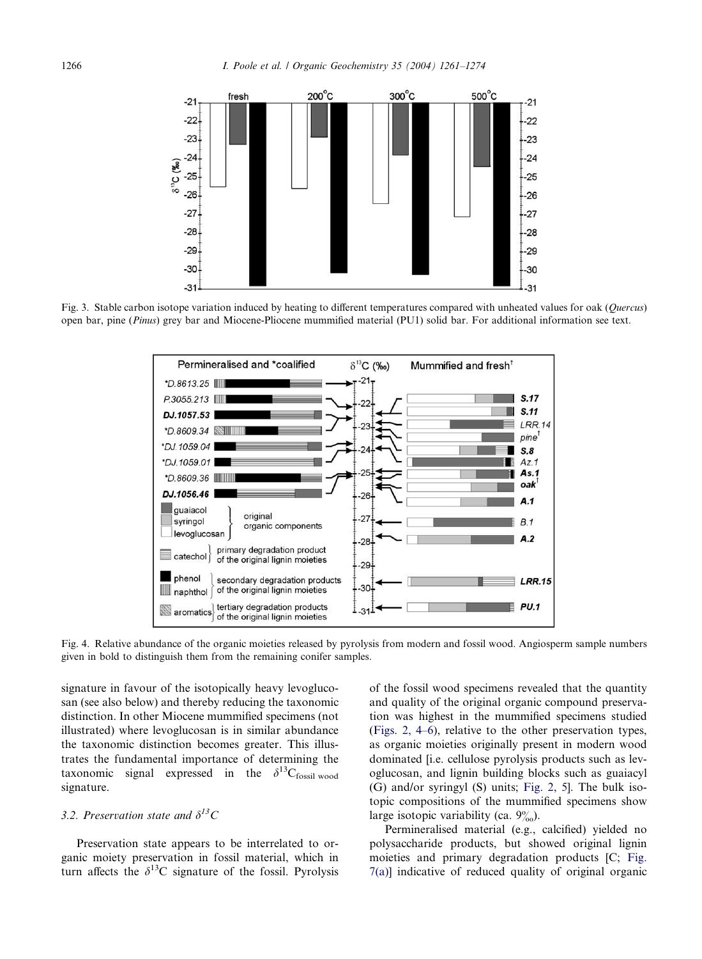<span id="page-5-0"></span>

Fig. 3. Stable carbon isotope variation induced by heating to different temperatures compared with unheated values for oak (Ouercus) open bar, pine (Pinus) grey bar and Miocene-Pliocene mummified material (PU1) solid bar. For additional information see text.



Fig. 4. Relative abundance of the organic moieties released by pyrolysis from modern and fossil wood. Angiosperm sample numbers given in bold to distinguish them from the remaining conifer samples.

signature in favour of the isotopically heavy levoglucosan (see also below) and thereby reducing the taxonomic distinction. In other Miocene mummified specimens (not illustrated) where levoglucosan is in similar abundance the taxonomic distinction becomes greater. This illustrates the fundamental importance of determining the taxonomic signal expressed in the  $\delta^{13}C_{\text{fossil} \text{ wood}}$ signature.

# 3.2. Preservation state and  $\delta^{13}C$

Preservation state appears to be interrelated to organic moiety preservation in fossil material, which in turn affects the  $\delta^{13}$ C signature of the fossil. Pyrolysis of the fossil wood specimens revealed that the quantity and quality of the original organic compound preservation was highest in the mummified specimens studied ([Figs. 2, 4–6](#page-4-0)), relative to the other preservation types, as organic moieties originally present in modern wood dominated [i.e. cellulose pyrolysis products such as levoglucosan, and lignin building blocks such as guaiacyl (G) and/or syringyl (S) units; [Fig. 2, 5\]](#page-4-0). The bulk isotopic compositions of the mummified specimens show large isotopic variability (ca.  $9\%$ ).

Permineralised material (e.g., calcified) yielded no polysaccharide products, but showed original lignin moieties and primary degradation products [C; [Fig.](#page-7-0) [7\(a\)](#page-7-0)] indicative of reduced quality of original organic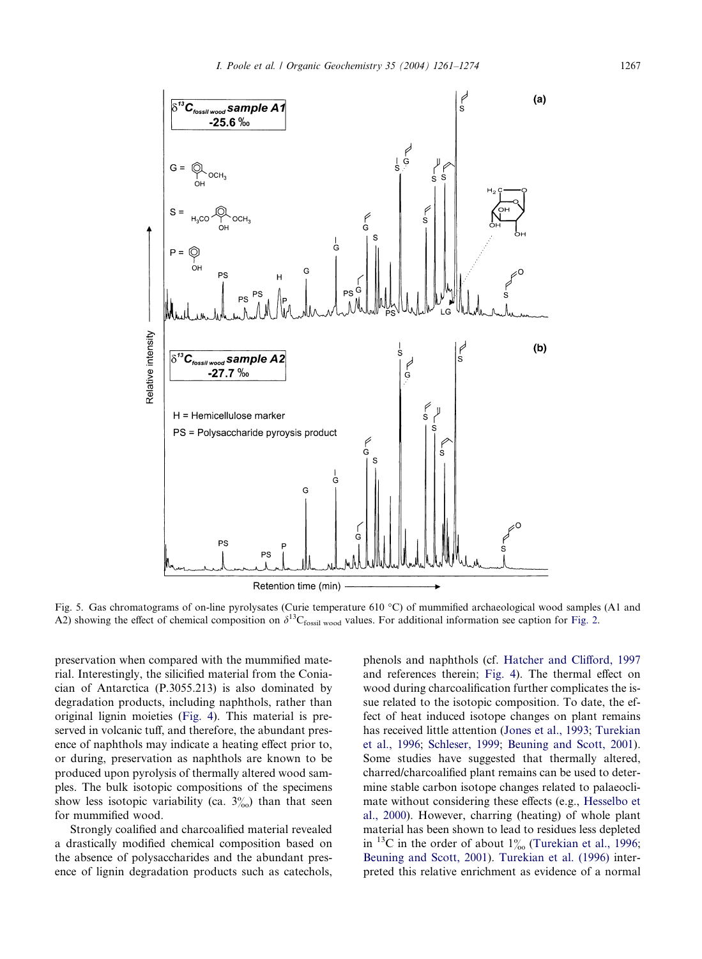<span id="page-6-0"></span>

Fig. 5. Gas chromatograms of on-line pyrolysates (Curie temperature 610 °C) of mummified archaeological wood samples (A1 and A2) showing the effect of chemical composition on  $\delta^{13}C_{\text{fossil wood}}$  values. For additional information see caption for [Fig. 2](#page-4-0).

preservation when compared with the mummified material. Interestingly, the silicified material from the Coniacian of Antarctica (P.3055.213) is also dominated by degradation products, including naphthols, rather than original lignin moieties [\(Fig. 4](#page-5-0)). This material is preserved in volcanic tuff, and therefore, the abundant presence of naphthols may indicate a heating effect prior to, or during, preservation as naphthols are known to be produced upon pyrolysis of thermally altered wood samples. The bulk isotopic compositions of the specimens show less isotopic variability (ca.  $3\%$ ) than that seen for mummified wood.

Strongly coalified and charcoalified material revealed a drastically modified chemical composition based on the absence of polysaccharides and the abundant presence of lignin degradation products such as catechols, phenols and naphthols (cf. [Hatcher and Clifford, 1997](#page-12-0) and references therein; [Fig. 4](#page-5-0)). The thermal effect on wood during charcoalification further complicates the issue related to the isotopic composition. To date, the effect of heat induced isotope changes on plant remains has received little attention ([Jones et al., 1993;](#page-12-0) [Turekian](#page-13-0) [et al., 1996;](#page-13-0) [Schleser, 1999](#page-13-0); [Beuning and Scott, 2001](#page-12-0)). Some studies have suggested that thermally altered, charred/charcoalified plant remains can be used to determine stable carbon isotope changes related to palaeoclimate without considering these effects (e.g., [Hesselbo et](#page-12-0) [al., 2000](#page-12-0)). However, charring (heating) of whole plant material has been shown to lead to residues less depleted in  $^{13}$ C in the order of about  $1\%$  [\(Turekian et al., 1996](#page-13-0); [Beuning and Scott, 2001](#page-12-0)). [Turekian et al. \(1996\)](#page-13-0) interpreted this relative enrichment as evidence of a normal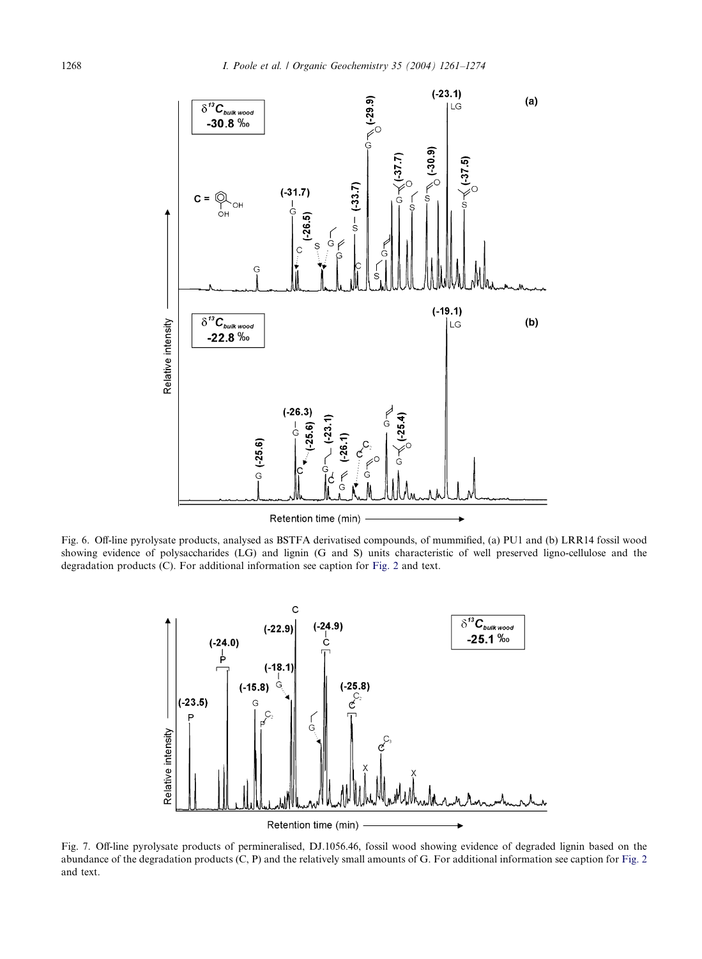<span id="page-7-0"></span>

Fig. 6. Off-line pyrolysate products, analysed as BSTFA derivatised compounds, of mummified, (a) PU1 and (b) LRR14 fossil wood showing evidence of polysaccharides (LG) and lignin (G and S) units characteristic of well preserved ligno-cellulose and the degradation products (C). For additional information see caption for [Fig. 2](#page-4-0) and text.



Fig. 7. Off-line pyrolysate products of permineralised, DJ.1056.46, fossil wood showing evidence of degraded lignin based on the abundance of the degradation products (C, P) and the relatively small amounts of G. For additional information see caption for [Fig. 2](#page-4-0) and text.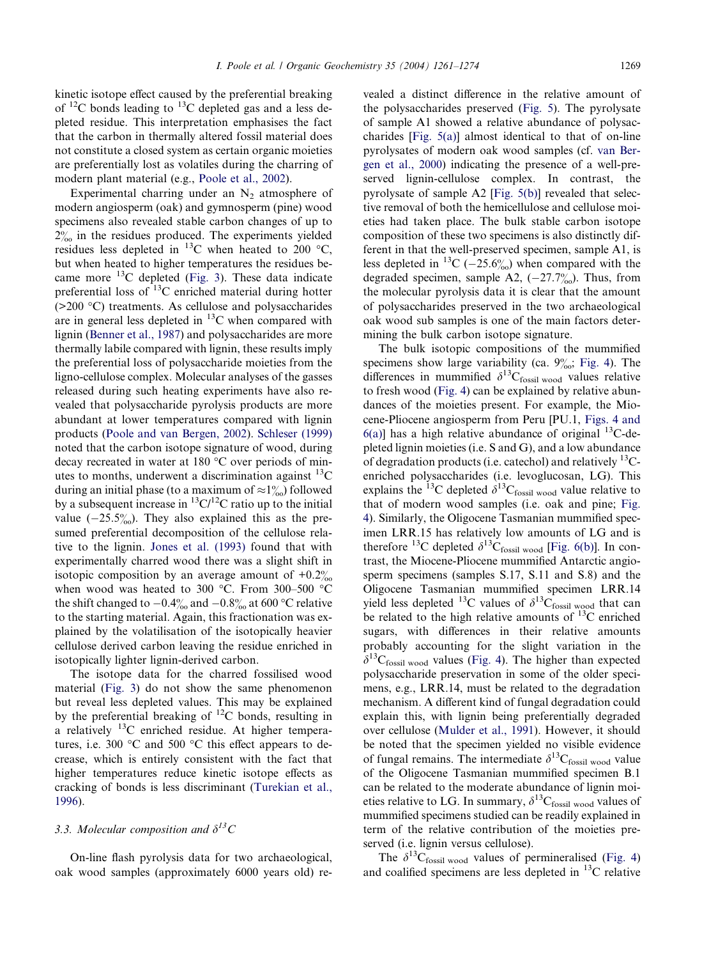kinetic isotope effect caused by the preferential breaking of  $^{12}$ C bonds leading to  $^{13}$ C depleted gas and a less depleted residue. This interpretation emphasises the fact that the carbon in thermally altered fossil material does not constitute a closed system as certain organic moieties are preferentially lost as volatiles during the charring of modern plant material (e.g., [Poole et al., 2002](#page-13-0)).

Experimental charring under an  $N_2$  atmosphere of modern angiosperm (oak) and gymnosperm (pine) wood specimens also revealed stable carbon changes of up to  $2\%$  in the residues produced. The experiments yielded residues less depleted in  $^{13}$ C when heated to 200 °C, but when heated to higher temperatures the residues became more  $^{13}$ C depleted ([Fig. 3\)](#page-5-0). These data indicate preferential loss of  $^{13}$ C enriched material during hotter (>200 °C) treatments. As cellulose and polysaccharides are in general less depleted in  $^{13}$ C when compared with lignin [\(Benner et al., 1987\)](#page-12-0) and polysaccharides are more thermally labile compared with lignin, these results imply the preferential loss of polysaccharide moieties from the ligno-cellulose complex. Molecular analyses of the gasses released during such heating experiments have also revealed that polysaccharide pyrolysis products are more abundant at lower temperatures compared with lignin products [\(Poole and van Bergen, 2002](#page-12-0)). [Schleser \(1999\)](#page-13-0) noted that the carbon isotope signature of wood, during decay recreated in water at 180  $^{\circ}$ C over periods of minutes to months, underwent a discrimination against  $^{13}$ C during an initial phase (to a maximum of  $\approx 1\%$ ) followed by a subsequent increase in  ${}^{13}C/{}^{12}C$  ratio up to the initial value  $(-25.5\%)$ . They also explained this as the presumed preferential decomposition of the cellulose relative to the lignin. [Jones et al. \(1993\)](#page-12-0) found that with experimentally charred wood there was a slight shift in isotopic composition by an average amount of  $+0.2\%$ when wood was heated to 300  $^{\circ}$ C. From 300–500  $^{\circ}$ C the shift changed to  $-0.4\%$  and  $-0.8\%$  at 600 °C relative to the starting material. Again, this fractionation was explained by the volatilisation of the isotopically heavier cellulose derived carbon leaving the residue enriched in isotopically lighter lignin-derived carbon.

The isotope data for the charred fossilised wood material [\(Fig. 3](#page-5-0)) do not show the same phenomenon but reveal less depleted values. This may be explained by the preferential breaking of  $^{12}$ C bonds, resulting in a relatively  $^{13}$ C enriched residue. At higher temperatures, i.e. 300  $\degree$ C and 500  $\degree$ C this effect appears to decrease, which is entirely consistent with the fact that higher temperatures reduce kinetic isotope effects as cracking of bonds is less discriminant ([Turekian et al.,](#page-13-0) [1996](#page-13-0)).

### 3.3. Molecular composition and  $\delta^{13}C$

On-line flash pyrolysis data for two archaeological, oak wood samples (approximately 6000 years old) revealed a distinct difference in the relative amount of the polysaccharides preserved [\(Fig. 5\)](#page-6-0). The pyrolysate of sample A1 showed a relative abundance of polysaccharides [[Fig. 5\(a\)\]](#page-6-0) almost identical to that of on-line pyrolysates of modern oak wood samples (cf. [van Ber](#page-12-0)[gen et al., 2000\)](#page-12-0) indicating the presence of a well-preserved lignin-cellulose complex. In contrast, the pyrolysate of sample A2 [[Fig. 5\(b\)\]](#page-6-0) revealed that selective removal of both the hemicellulose and cellulose moieties had taken place. The bulk stable carbon isotope composition of these two specimens is also distinctly different in that the well-preserved specimen, sample A1, is less depleted in <sup>13</sup>C ( $-25.6\%$ ) when compared with the degraded specimen, sample A2,  $(-27.7\%)$ . Thus, from the molecular pyrolysis data it is clear that the amount of polysaccharides preserved in the two archaeological oak wood sub samples is one of the main factors determining the bulk carbon isotope signature.

The bulk isotopic compositions of the mummified specimens show large variability (ca.  $9\%$ ; [Fig. 4\)](#page-5-0). The differences in mummified  $\delta^{13}C_{fossil wood}$  values relative to fresh wood [\(Fig. 4\)](#page-5-0) can be explained by relative abundances of the moieties present. For example, the Miocene-Pliocene angiosperm from Peru [PU.1, [Figs. 4 and](#page-5-0)  $6(a)$ ] has a high relative abundance of original <sup>13</sup>C-depleted lignin moieties (i.e. S and G), and a low abundance of degradation products (i.e. catechol) and relatively  $^{13}$ Cenriched polysaccharides (i.e. levoglucosan, LG). This explains the <sup>13</sup>C depleted  $\delta^{13}C_{\text{fossil wood}}$  value relative to that of modern wood samples (i.e. oak and pine; [Fig.](#page-5-0) [4](#page-5-0)). Similarly, the Oligocene Tasmanian mummified specimen LRR.15 has relatively low amounts of LG and is therefore <sup>13</sup>C depleted  $\delta^{13}C_{\text{fossil wood}}$  [[Fig. 6\(b\)\]](#page-7-0). In contrast, the Miocene-Pliocene mummified Antarctic angiosperm specimens (samples S.17, S.11 and S.8) and the Oligocene Tasmanian mummified specimen LRR.14 yield less depleted <sup>13</sup>C values of  $\delta^{13}C_{\text{fossil wood}}$  that can be related to the high relative amounts of  $^{13}$ C enriched sugars, with differences in their relative amounts probably accounting for the slight variation in the  $\delta^{13}C_{\text{fossil wood}}$  values ([Fig. 4\)](#page-5-0). The higher than expected polysaccharide preservation in some of the older specimens, e.g., LRR.14, must be related to the degradation mechanism. A different kind of fungal degradation could explain this, with lignin being preferentially degraded over cellulose ([Mulder et al., 1991](#page-12-0)). However, it should be noted that the specimen yielded no visible evidence of fungal remains. The intermediate  $\delta^{13}C_{\text{fossil} \text{ wood}}$  value of the Oligocene Tasmanian mummified specimen B.1 can be related to the moderate abundance of lignin moieties relative to LG. In summary,  $\delta^{13}C_{\text{fossil wood}}$  values of mummified specimens studied can be readily explained in term of the relative contribution of the moieties preserved (i.e. lignin versus cellulose).

The  $\delta^{13}C_{\text{fossil wood}}$  values of permineralised [\(Fig. 4\)](#page-5-0) and coalified specimens are less depleted in  $^{13}$ C relative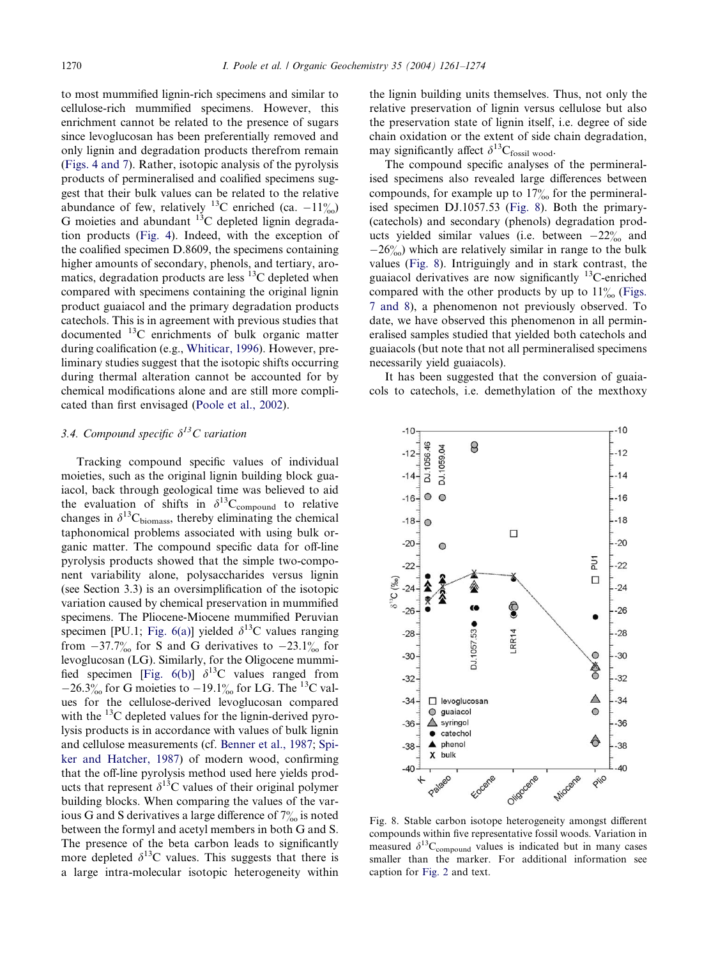<span id="page-9-0"></span>to most mummified lignin-rich specimens and similar to cellulose-rich mummified specimens. However, this enrichment cannot be related to the presence of sugars since levoglucosan has been preferentially removed and only lignin and degradation products therefrom remain [\(Figs. 4 and 7\)](#page-5-0). Rather, isotopic analysis of the pyrolysis products of permineralised and coalified specimens suggest that their bulk values can be related to the relative abundance of few, relatively <sup>13</sup>C enriched (ca.  $-11\%$ ) G moieties and abundant  $^{13}$ C depleted lignin degradation products [\(Fig. 4\)](#page-5-0). Indeed, with the exception of the coalified specimen D.8609, the specimens containing higher amounts of secondary, phenols, and tertiary, aromatics, degradation products are less <sup>13</sup>C depleted when compared with specimens containing the original lignin product guaiacol and the primary degradation products catechols. This is in agreement with previous studies that documented 13C enrichments of bulk organic matter during coalification (e.g., [Whiticar, 1996\)](#page-13-0). However, preliminary studies suggest that the isotopic shifts occurring during thermal alteration cannot be accounted for by chemical modifications alone and are still more complicated than first envisaged ([Poole et al., 2002](#page-13-0)).

# 3.4. Compound specific  $\delta^{13}C$  variation

Tracking compound specific values of individual moieties, such as the original lignin building block guaiacol, back through geological time was believed to aid the evaluation of shifts in  $\delta^{13}C_{\text{compound}}$  to relative changes in  $\delta^{13}C_{\text{biomass}}$ , thereby eliminating the chemical taphonomical problems associated with using bulk organic matter. The compound specific data for off-line pyrolysis products showed that the simple two-component variability alone, polysaccharides versus lignin (see Section 3.3) is an oversimplification of the isotopic variation caused by chemical preservation in mummified specimens. The Pliocene-Miocene mummified Peruvian specimen [PU.1; [Fig. 6\(a\)](#page-7-0)] yielded  $\delta^{13}$ C values ranging from  $-37.7\%$  for S and G derivatives to  $-23.1\%$  for levoglucosan (LG). Similarly, for the Oligocene mummi-fied specimen [\[Fig. 6\(b\)](#page-7-0)]  $\delta^{13}$ C values ranged from  $-26.3\%$  for G moieties to  $-19.1\%$  for LG. The <sup>13</sup>C values for the cellulose-derived levoglucosan compared with the  $^{13}$ C depleted values for the lignin-derived pyrolysis products is in accordance with values of bulk lignin and cellulose measurements (cf. [Benner et al., 1987](#page-12-0); [Spi](#page-13-0)[ker and Hatcher, 1987](#page-13-0)) of modern wood, confirming that the off-line pyrolysis method used here yields products that represent  $\delta^{13}$ C values of their original polymer building blocks. When comparing the values of the various G and S derivatives a large difference of  $7\%$  is noted between the formyl and acetyl members in both G and S. The presence of the beta carbon leads to significantly more depleted  $\delta^{13}$ C values. This suggests that there is a large intra-molecular isotopic heterogeneity within the lignin building units themselves. Thus, not only the relative preservation of lignin versus cellulose but also the preservation state of lignin itself, i.e. degree of side chain oxidation or the extent of side chain degradation, may significantly affect  $\delta^{13}C_{\text{fossil wood}}$ .

The compound specific analyses of the permineralised specimens also revealed large differences between compounds, for example up to  $17\%$  for the permineralised specimen DJ.1057.53 (Fig. 8). Both the primary- (catechols) and secondary (phenols) degradation products yielded similar values (i.e. between  $-22\%$  and  $-26\%$  which are relatively similar in range to the bulk values (Fig. 8). Intriguingly and in stark contrast, the guaiacol derivatives are now significantly  $^{13}$ C-enriched compared with the other products by up to  $11\%$  ([Figs.](#page-7-0) [7 and 8\)](#page-7-0), a phenomenon not previously observed. To date, we have observed this phenomenon in all permineralised samples studied that yielded both catechols and guaiacols (but note that not all permineralised specimens necessarily yield guaiacols).

It has been suggested that the conversion of guaiacols to catechols, i.e. demethylation of the mexthoxy



Fig. 8. Stable carbon isotope heterogeneity amongst different compounds within five representative fossil woods. Variation in measured  $\delta^{13}C_{\text{compound}}$  values is indicated but in many cases smaller than the marker. For additional information see caption for [Fig. 2](#page-4-0) and text.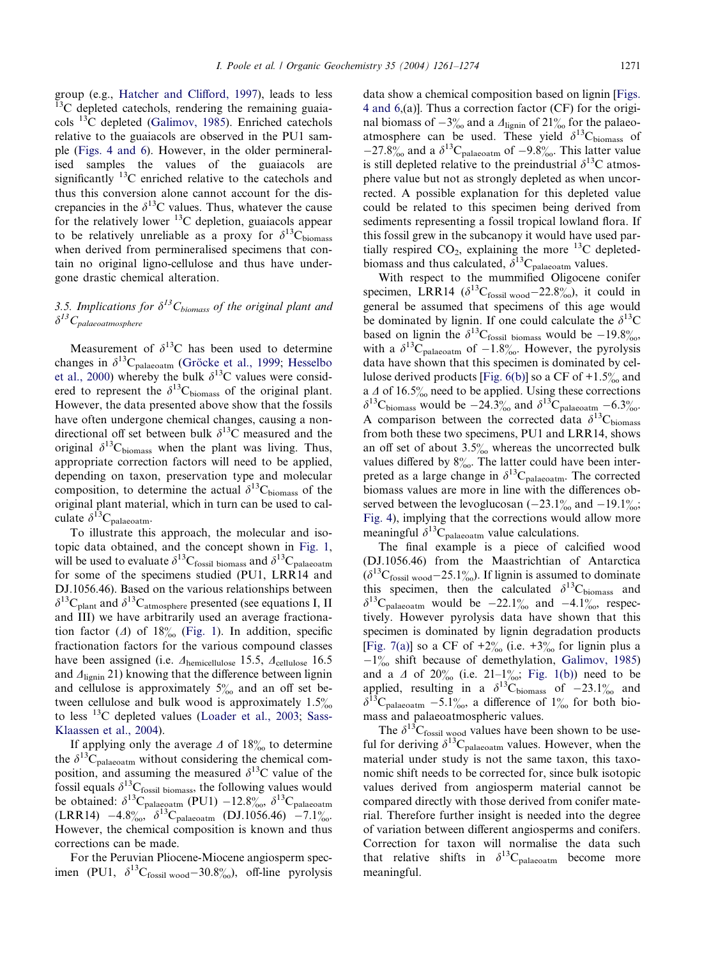group (e.g., [Hatcher and Clifford, 1997\)](#page-12-0), leads to less <sup>13</sup>C depleted catechols, rendering the remaining guaiacols 13C depleted [\(Galimov, 1985\)](#page-12-0). Enriched catechols relative to the guaiacols are observed in the PU1 sample [\(Figs. 4 and 6\)](#page-5-0). However, in the older permineralised samples the values of the guaiacols are significantly  $^{13}$ C enriched relative to the catechols and thus this conversion alone cannot account for the discrepancies in the  $\delta^{13}$ C values. Thus, whatever the cause for the relatively lower  $^{13}$ C depletion, guaiacols appear to be relatively unreliable as a proxy for  $\delta^{13}$ C<sub>biomass</sub> when derived from permineralised specimens that contain no original ligno-cellulose and thus have undergone drastic chemical alteration.

## 3.5. Implications for  $\delta^{13}C_{biomass}$  of the original plant and  $\delta^{13}C_{palaeoatmosphere}$

Measurement of  $\delta^{13}$ C has been used to determine changes in  $\delta^{13}C_{\text{palaeoatm}}$  (Gröcke et al., 1999; [Hesselbo](#page-12-0) [et al., 2000](#page-12-0)) whereby the bulk  $\delta^{13}$ C values were considered to represent the  $\delta^{13}C_{\text{biomass}}$  of the original plant. However, the data presented above show that the fossils have often undergone chemical changes, causing a nondirectional off set between bulk  $\delta^{13}$ C measured and the original  $\delta^{13}C_{\text{biomass}}$  when the plant was living. Thus, appropriate correction factors will need to be applied, depending on taxon, preservation type and molecular composition, to determine the actual  $\delta^{13}C_{\text{biomass}}$  of the original plant material, which in turn can be used to calculate  $\delta^{13}C_{\text{palaeoatm}}$ .

To illustrate this approach, the molecular and isotopic data obtained, and the concept shown in [Fig. 1](#page-2-0), will be used to evaluate  $\delta^{13}C_{\text{fossil biomass}}$  and  $\delta^{13}C_{\text{palaecatm}}$ for some of the specimens studied (PU1, LRR14 and DJ.1056.46). Based on the various relationships between  $\delta^{13}C_{\text{plant}}$  and  $\delta^{13}C_{\text{atmosphere}}$  presented (see equations I, II and III) we have arbitrarily used an average fractionation factor ( $\Delta$ ) of 18% ([Fig. 1](#page-2-0)). In addition, specific fractionation factors for the various compound classes have been assigned (i.e.  $\Delta$ <sub>hemicellulose</sub> 15.5,  $\Delta$ <sub>cellulose</sub> 16.5 and  $\Delta_{\text{lignin}}$  21) knowing that the difference between lignin and cellulose is approximately  $5\%$  and an off set between cellulose and bulk wood is approximately  $1.5\%$ to less 13C depleted values ([Loader et al., 2003;](#page-12-0) [Sass-](#page-13-0)[Klaassen et al., 2004\)](#page-13-0).

If applying only the average  $\Delta$  of 18‰ to determine the  $\delta^{13}C_{\text{palaecatm}}$  without considering the chemical composition, and assuming the measured  $\delta^{13}$ C value of the fossil equals  $\delta^{13}C_{fossil\;biomass}$ , the following values would be obtained:  $\delta^{13}C_{\text{palaeoatm}}$  (PU1)  $-12.8\%$ ,  $\delta^{13}C_{\text{palaeoatm}}$  $(LRR14)$  -4.8%,  $\delta^{13}C_{palaeoatm}$  (DJ.1056.46) -7.1%. However, the chemical composition is known and thus corrections can be made.

For the Peruvian Pliocene-Miocene angiosperm specimen (PU1,  $\delta^{13}C_{\text{fossil wood}} - 30.8\%$ ), off-line pyrolysis data show a chemical composition based on lignin [\[Figs.](#page-5-0) [4 and 6](#page-5-0),(a)]. Thus a correction factor (CF) for the original biomass of  $-3\%$  and a  $\Delta_{\text{lignin}}$  of  $21\%$  for the palaeoatmosphere can be used. These yield  $\delta^{13}$ C<sub>biomass</sub> of  $-27.8\%$  and a  $\delta^{13}C_{\text{palaecatm}}$  of  $-9.8\%$ . This latter value is still depleted relative to the preindustrial  $\delta^{13}$ C atmosphere value but not as strongly depleted as when uncorrected. A possible explanation for this depleted value could be related to this specimen being derived from sediments representing a fossil tropical lowland flora. If this fossil grew in the subcanopy it would have used partially respired  $CO_2$ , explaining the more <sup>13</sup>C depletedbiomass and thus calculated,  $\delta^{13}C_{\text{palaeoatm}}$  values.

With respect to the mummified Oligocene conifer specimen, LRR14 ( $\delta^{13}C_{\text{fossil wood}}$  -22.8%), it could in general be assumed that specimens of this age would be dominated by lignin. If one could calculate the  $\delta^{13}$ C based on lignin the  $\delta^{13}C_{\text{fossil}}$  biomass would be  $-19.8\%$ , with a  $\delta^{13}C_{\text{palaeoatm}}$  of  $-1.8\%$ . However, the pyrolysis data have shown that this specimen is dominated by cel-lulose derived products [\[Fig. 6\(b\)](#page-7-0)] so a CF of  $+1.5\%$  and a  $\Delta$  of 16.5% need to be applied. Using these corrections  $\delta^{13}$ C<sub>biomass</sub> would be  $-24.3\%$  and  $\delta^{13}$ C<sub>palaeoatm</sub>  $-6.3\%$ . A comparison between the corrected data  $\delta^{13}C_{\text{biomass}}$ from both these two specimens, PU1 and LRR14, shows an off set of about  $3.5\%$  whereas the uncorrected bulk values differed by  $8\%$ . The latter could have been interpreted as a large change in  $\delta^{13}C_{\text{palaeoatm}}$ . The corrected biomass values are more in line with the differences observed between the levoglucosan  $(-23.1\%_{\text{oo}}$  and  $-19.1\%_{\text{oo}};$ [Fig. 4](#page-5-0)), implying that the corrections would allow more meaningful  $\delta^{13}C_{\text{palaeoatm}}$  value calculations.

The final example is a piece of calcified wood (DJ.1056.46) from the Maastrichtian of Antarctica  $(\delta^{13}C_{\text{fossil wood}} - 25.1\%)$ . If lignin is assumed to dominate this specimen, then the calculated  $\delta^{13}C_{\text{biomass}}$  and  $\delta^{13}$ C<sub>palaeoatm</sub> would be  $-22.1\%$  and  $-4.1\%$ , respectively. However pyrolysis data have shown that this specimen is dominated by lignin degradation products [\[Fig. 7\(a\)\]](#page-7-0) so a CF of  $+2\%$  (i.e.  $+3\%$  for lignin plus a  $-1\%$  shift because of demethylation, [Galimov, 1985\)](#page-12-0) and a  $\Delta$  of 20% (i.e. 21–1%; [Fig. 1\(b\)\)](#page-2-0) need to be applied, resulting in a  $\delta^{13}C_{\text{biomass}}$  of  $-23.1\%$  and  $\delta^{13}C_{\text{palaecatm}} - 5.1\%$ , a difference of  $1\%$  for both biomass and palaeoatmospheric values.

The  $\delta^{13}C_{\text{fossil wood}}$  values have been shown to be useful for deriving  $\delta^{13}C_{\text{palaeoatm}}$  values. However, when the material under study is not the same taxon, this taxonomic shift needs to be corrected for, since bulk isotopic values derived from angiosperm material cannot be compared directly with those derived from conifer material. Therefore further insight is needed into the degree of variation between different angiosperms and conifers. Correction for taxon will normalise the data such that relative shifts in  $\delta^{13}C_{\text{palaeoatm}}$  become more meaningful.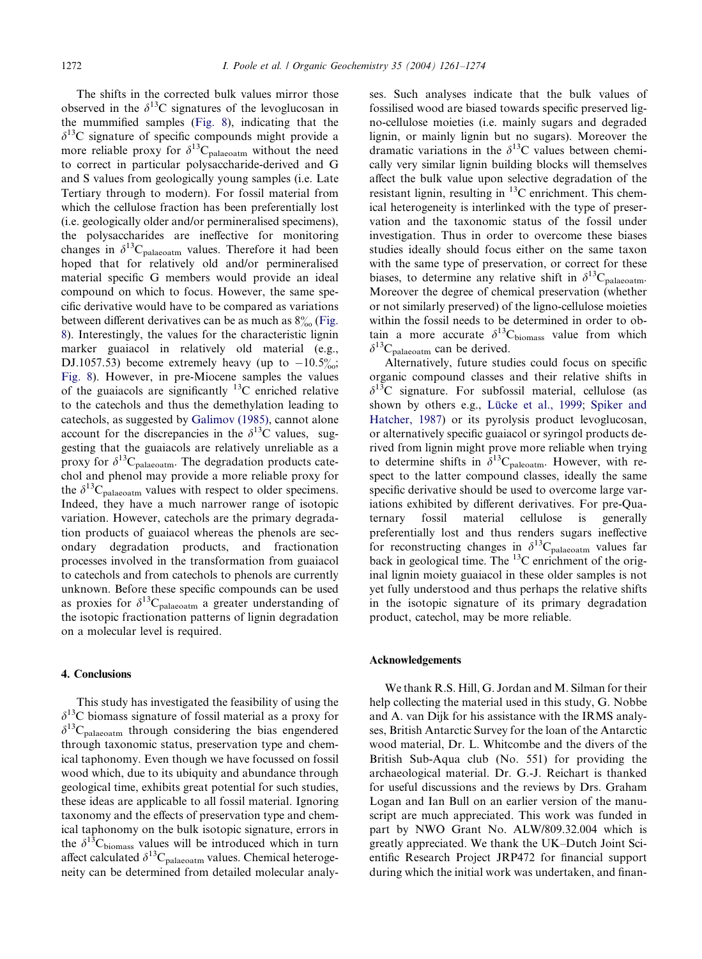The shifts in the corrected bulk values mirror those observed in the  $\delta^{13}$ C signatures of the levoglucosan in the mummified samples [\(Fig. 8](#page-9-0)), indicating that the  $\delta^{13}$ C signature of specific compounds might provide a more reliable proxy for  $\delta^{13}C_{\text{palaecatm}}$  without the need to correct in particular polysaccharide-derived and G and S values from geologically young samples (i.e. Late Tertiary through to modern). For fossil material from which the cellulose fraction has been preferentially lost (i.e. geologically older and/or permineralised specimens), the polysaccharides are ineffective for monitoring changes in  $\delta^{13}C_{\text{palaeoatm}}$  values. Therefore it had been hoped that for relatively old and/or permineralised material specific G members would provide an ideal compound on which to focus. However, the same specific derivative would have to be compared as variations between different derivatives can be as much as  $8\%$  [\(Fig.](#page-9-0) [8\)](#page-9-0). Interestingly, the values for the characteristic lignin marker guaiacol in relatively old material (e.g., DJ.1057.53) become extremely heavy (up to  $-10.5\%$ ); [Fig. 8\)](#page-9-0). However, in pre-Miocene samples the values of the guaiacols are significantly  $^{13}$ C enriched relative to the catechols and thus the demethylation leading to catechols, as suggested by [Galimov \(1985\)](#page-12-0), cannot alone account for the discrepancies in the  $\delta^{13}$ C values, suggesting that the guaiacols are relatively unreliable as a proxy for  $\delta^{13}C_{\text{palaeoatm}}$ . The degradation products catechol and phenol may provide a more reliable proxy for the  $\delta^{13}C_{\text{palaecatm}}$  values with respect to older specimens. Indeed, they have a much narrower range of isotopic variation. However, catechols are the primary degradation products of guaiacol whereas the phenols are secondary degradation products, and fractionation processes involved in the transformation from guaiacol to catechols and from catechols to phenols are currently unknown. Before these specific compounds can be used as proxies for  $\delta^{13}C_{\text{palaeoatm}}$  a greater understanding of the isotopic fractionation patterns of lignin degradation on a molecular level is required.

### 4. Conclusions

This study has investigated the feasibility of using the  $\delta^{13}$ C biomass signature of fossil material as a proxy for  $\delta^{13}C_{\text{palaeoatm}}$  through considering the bias engendered through taxonomic status, preservation type and chemical taphonomy. Even though we have focussed on fossil wood which, due to its ubiquity and abundance through geological time, exhibits great potential for such studies, these ideas are applicable to all fossil material. Ignoring taxonomy and the effects of preservation type and chemical taphonomy on the bulk isotopic signature, errors in the  $\delta^{13}$ C<sub>biomass</sub> values will be introduced which in turn affect calculated  $\delta^{13}C_{palaeoatm}$  values. Chemical heterogeneity can be determined from detailed molecular analyses. Such analyses indicate that the bulk values of fossilised wood are biased towards specific preserved ligno-cellulose moieties (i.e. mainly sugars and degraded lignin, or mainly lignin but no sugars). Moreover the dramatic variations in the  $\delta^{13}$ C values between chemically very similar lignin building blocks will themselves affect the bulk value upon selective degradation of the resistant lignin, resulting in  ${}^{13}$ C enrichment. This chemical heterogeneity is interlinked with the type of preservation and the taxonomic status of the fossil under investigation. Thus in order to overcome these biases studies ideally should focus either on the same taxon with the same type of preservation, or correct for these biases, to determine any relative shift in  $\delta^{13}C_{\text{palaeoatm}}$ . Moreover the degree of chemical preservation (whether or not similarly preserved) of the ligno-cellulose moieties within the fossil needs to be determined in order to obtain a more accurate  $\delta^{13}C_{\text{biomass}}$  value from which  $\delta^{13}C_{\text{palaeoatm}}$  can be derived.

Alternatively, future studies could focus on specific organic compound classes and their relative shifts in  $\delta^{13}$ C signature. For subfossil material, cellulose (as shown by others e.g., Lücke et al., 1999; [Spiker and](#page-13-0) [Hatcher, 1987\)](#page-13-0) or its pyrolysis product levoglucosan, or alternatively specific guaiacol or syringol products derived from lignin might prove more reliable when trying to determine shifts in  $\delta^{13}C_{\text{paleoatm}}$ . However, with respect to the latter compound classes, ideally the same specific derivative should be used to overcome large variations exhibited by different derivatives. For pre-Quaternary fossil material cellulose is generally preferentially lost and thus renders sugars ineffective for reconstructing changes in  $\delta^{13}C_{\text{palaeoatm}}$  values far back in geological time. The  $^{13}$ C enrichment of the original lignin moiety guaiacol in these older samples is not yet fully understood and thus perhaps the relative shifts in the isotopic signature of its primary degradation product, catechol, may be more reliable.

### Acknowledgements

We thank R.S. Hill, G. Jordan and M. Silman for their help collecting the material used in this study, G. Nobbe and A. van Dijk for his assistance with the IRMS analyses, British Antarctic Survey for the loan of the Antarctic wood material, Dr. L. Whitcombe and the divers of the British Sub-Aqua club (No. 551) for providing the archaeological material. Dr. G.-J. Reichart is thanked for useful discussions and the reviews by Drs. Graham Logan and Ian Bull on an earlier version of the manuscript are much appreciated. This work was funded in part by NWO Grant No. ALW/809.32.004 which is greatly appreciated. We thank the UK–Dutch Joint Scientific Research Project JRP472 for financial support during which the initial work was undertaken, and finan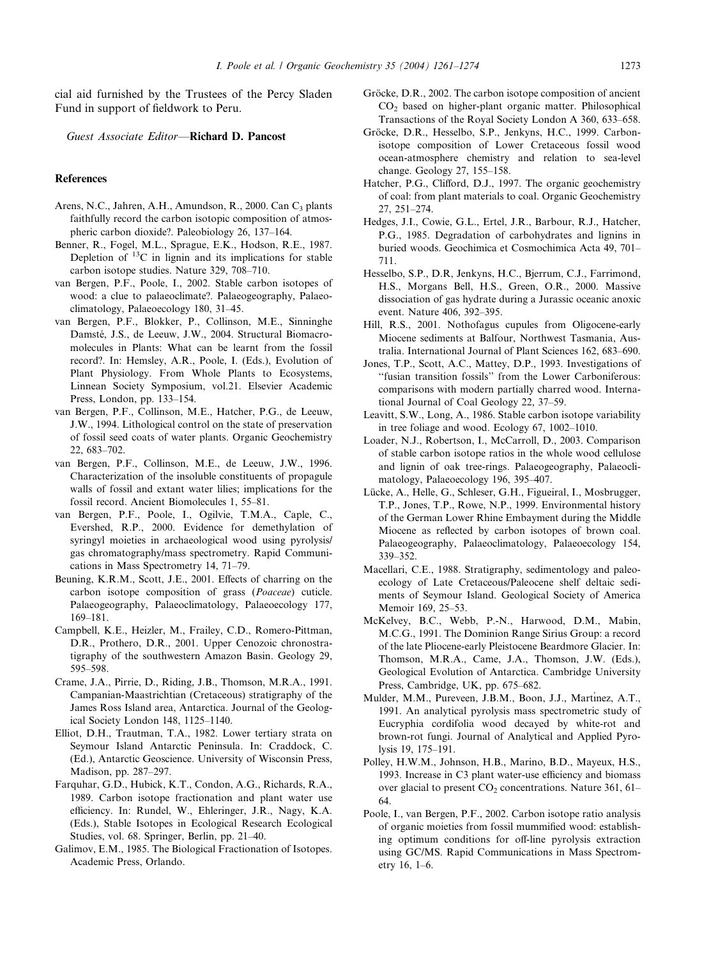<span id="page-12-0"></span>cial aid furnished by the Trustees of the Percy Sladen Fund in support of fieldwork to Peru.

Guest Associate Editor—Richard D. Pancost

### References

- Arens, N.C., Jahren, A.H., Amundson, R., 2000. Can C<sub>3</sub> plants faithfully record the carbon isotopic composition of atmospheric carbon dioxide?. Paleobiology 26, 137–164.
- Benner, R., Fogel, M.L., Sprague, E.K., Hodson, R.E., 1987. Depletion of  $^{13}$ C in lignin and its implications for stable carbon isotope studies. Nature 329, 708–710.
- van Bergen, P.F., Poole, I., 2002. Stable carbon isotopes of wood: a clue to palaeoclimate?. Palaeogeography, Palaeoclimatology, Palaeoecology 180, 31–45.
- van Bergen, P.F., Blokker, P., Collinson, M.E., Sinninghe Damsté, J.S., de Leeuw, J.W., 2004. Structural Biomacromolecules in Plants: What can be learnt from the fossil record?. In: Hemsley, A.R., Poole, I. (Eds.), Evolution of Plant Physiology. From Whole Plants to Ecosystems, Linnean Society Symposium, vol.21. Elsevier Academic Press, London, pp. 133–154.
- van Bergen, P.F., Collinson, M.E., Hatcher, P.G., de Leeuw, J.W., 1994. Lithological control on the state of preservation of fossil seed coats of water plants. Organic Geochemistry 22, 683–702.
- van Bergen, P.F., Collinson, M.E., de Leeuw, J.W., 1996. Characterization of the insoluble constituents of propagule walls of fossil and extant water lilies; implications for the fossil record. Ancient Biomolecules 1, 55–81.
- van Bergen, P.F., Poole, I., Ogilvie, T.M.A., Caple, C., Evershed, R.P., 2000. Evidence for demethylation of syringyl moieties in archaeological wood using pyrolysis/ gas chromatography/mass spectrometry. Rapid Communications in Mass Spectrometry 14, 71–79.
- Beuning, K.R.M., Scott, J.E., 2001. Effects of charring on the carbon isotope composition of grass (Poaceae) cuticle. Palaeogeography, Palaeoclimatology, Palaeoecology 177, 169–181.
- Campbell, K.E., Heizler, M., Frailey, C.D., Romero-Pittman, D.R., Prothero, D.R., 2001. Upper Cenozoic chronostratigraphy of the southwestern Amazon Basin. Geology 29, 595–598.
- Crame, J.A., Pirrie, D., Riding, J.B., Thomson, M.R.A., 1991. Campanian-Maastrichtian (Cretaceous) stratigraphy of the James Ross Island area, Antarctica. Journal of the Geological Society London 148, 1125–1140.
- Elliot, D.H., Trautman, T.A., 1982. Lower tertiary strata on Seymour Island Antarctic Peninsula. In: Craddock, C. (Ed.), Antarctic Geoscience. University of Wisconsin Press, Madison, pp. 287–297.
- Farquhar, G.D., Hubick, K.T., Condon, A.G., Richards, R.A., 1989. Carbon isotope fractionation and plant water use efficiency. In: Rundel, W., Ehleringer, J.R., Nagy, K.A. (Eds.), Stable Isotopes in Ecological Research Ecological Studies, vol. 68. Springer, Berlin, pp. 21–40.
- Galimov, E.M., 1985. The Biological Fractionation of Isotopes. Academic Press, Orlando.
- Gröcke, D.R., 2002. The carbon isotope composition of ancient CO2 based on higher-plant organic matter. Philosophical Transactions of the Royal Society London A 360, 633–658.
- Gröcke, D.R., Hesselbo, S.P., Jenkyns, H.C., 1999. Carbonisotope composition of Lower Cretaceous fossil wood ocean-atmosphere chemistry and relation to sea-level change. Geology 27, 155–158.
- Hatcher, P.G., Clifford, D.J., 1997. The organic geochemistry of coal: from plant materials to coal. Organic Geochemistry 27, 251–274.
- Hedges, J.I., Cowie, G.L., Ertel, J.R., Barbour, R.J., Hatcher, P.G., 1985. Degradation of carbohydrates and lignins in buried woods. Geochimica et Cosmochimica Acta 49, 701– 711.
- Hesselbo, S.P., D.R, Jenkyns, H.C., Bjerrum, C.J., Farrimond, H.S., Morgans Bell, H.S., Green, O.R., 2000. Massive dissociation of gas hydrate during a Jurassic oceanic anoxic event. Nature 406, 392–395.
- Hill, R.S., 2001. Nothofagus cupules from Oligocene-early Miocene sediments at Balfour, Northwest Tasmania, Australia. International Journal of Plant Sciences 162, 683–690.
- Jones, T.P., Scott, A.C., Mattey, D.P., 1993. Investigations of ''fusian transition fossils'' from the Lower Carboniferous: comparisons with modern partially charred wood. International Journal of Coal Geology 22, 37–59.
- Leavitt, S.W., Long, A., 1986. Stable carbon isotope variability in tree foliage and wood. Ecology 67, 1002–1010.
- Loader, N.J., Robertson, I., McCarroll, D., 2003. Comparison of stable carbon isotope ratios in the whole wood cellulose and lignin of oak tree-rings. Palaeogeography, Palaeoclimatology, Palaeoecology 196, 395–407.
- Lücke, A., Helle, G., Schleser, G.H., Figueiral, I., Mosbrugger, T.P., Jones, T.P., Rowe, N.P., 1999. Environmental history of the German Lower Rhine Embayment during the Middle Miocene as reflected by carbon isotopes of brown coal. Palaeogeography, Palaeoclimatology, Palaeoecology 154, 339–352.
- Macellari, C.E., 1988. Stratigraphy, sedimentology and paleoecology of Late Cretaceous/Paleocene shelf deltaic sediments of Seymour Island. Geological Society of America Memoir 169, 25–53.
- McKelvey, B.C., Webb, P.-N., Harwood, D.M., Mabin, M.C.G., 1991. The Dominion Range Sirius Group: a record of the late Pliocene-early Pleistocene Beardmore Glacier. In: Thomson, M.R.A., Came, J.A., Thomson, J.W. (Eds.), Geological Evolution of Antarctica. Cambridge University Press, Cambridge, UK, pp. 675–682.
- Mulder, M.M., Pureveen, J.B.M., Boon, J.J., Martinez, A.T., 1991. An analytical pyrolysis mass spectrometric study of Eucryphia cordifolia wood decayed by white-rot and brown-rot fungi. Journal of Analytical and Applied Pyrolysis 19, 175–191.
- Polley, H.W.M., Johnson, H.B., Marino, B.D., Mayeux, H.S., 1993. Increase in C3 plant water-use efficiency and biomass over glacial to present  $CO<sub>2</sub>$  concentrations. Nature 361, 61– 64.
- Poole, I., van Bergen, P.F., 2002. Carbon isotope ratio analysis of organic moieties from fossil mummified wood: establishing optimum conditions for off-line pyrolysis extraction using GC/MS. Rapid Communications in Mass Spectrometry 16, 1–6.